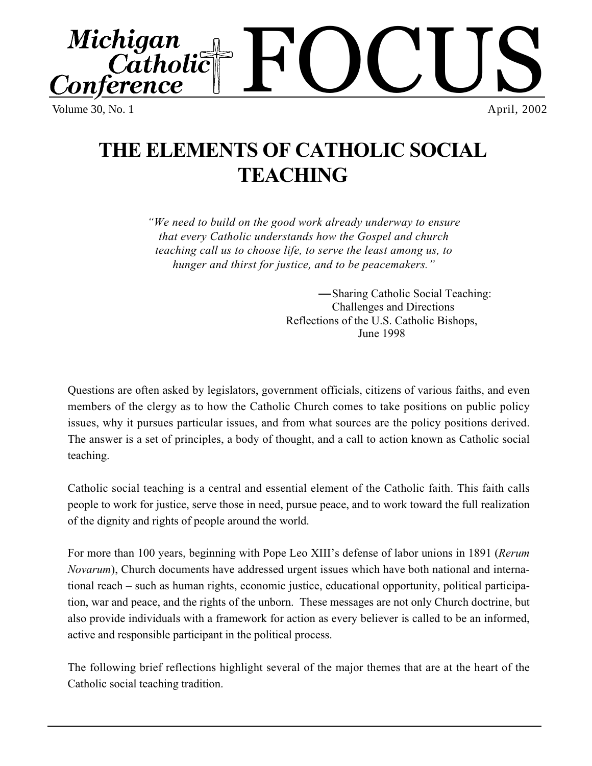FOCUS Michigan ragan<br>Catholic ference Volume 30, No. 1 April, 2002

# **THE ELEMENTS OF CATHOLIC SOCIAL TEACHING**

*"We need to build on the good work already underway to ensure that every Catholic understands how the Gospel and church teaching call us to choose life, to serve the least among us, to hunger and thirst for justice, and to be peacemakers."*

> Sharing Catholic Social Teaching: Challenges and Directions Reflections of the U.S. Catholic Bishops, June 1998

Questions are often asked by legislators, government officials, citizens of various faiths, and even members of the clergy as to how the Catholic Church comes to take positions on public policy issues, why it pursues particular issues, and from what sources are the policy positions derived. The answer is a set of principles, a body of thought, and a call to action known as Catholic social teaching.

Catholic social teaching is a central and essential element of the Catholic faith. This faith calls people to work for justice, serve those in need, pursue peace, and to work toward the full realization of the dignity and rights of people around the world.

For more than 100 years, beginning with Pope Leo XIII's defense of labor unions in 1891 (*Rerum Novarum*), Church documents have addressed urgent issues which have both national and international reach – such as human rights, economic justice, educational opportunity, political participation, war and peace, and the rights of the unborn. These messages are not only Church doctrine, but also provide individuals with a framework for action as every believer is called to be an informed, active and responsible participant in the political process.

The following brief reflections highlight several of the major themes that are at the heart of the Catholic social teaching tradition.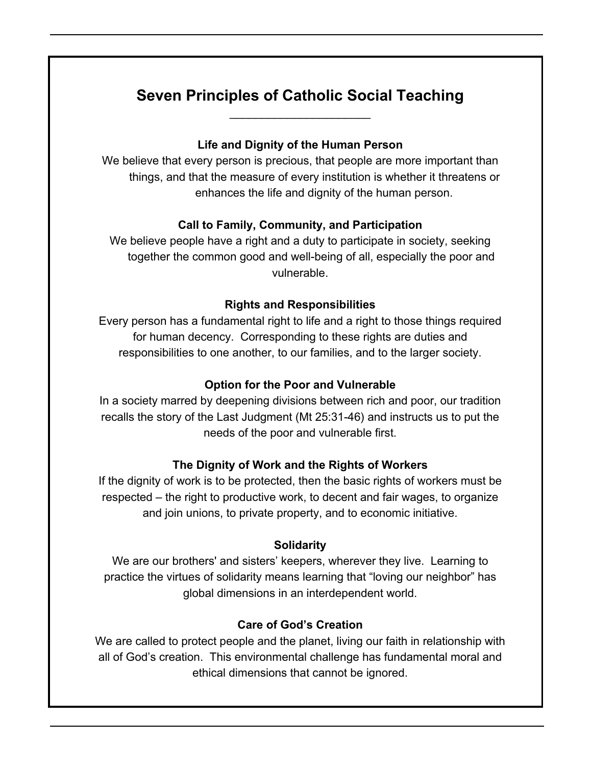## **Seven Principles of Catholic Social Teaching** \_\_\_\_\_\_\_\_\_\_\_\_\_\_\_\_\_\_\_\_\_\_

#### **Life and Dignity of the Human Person**

We believe that every person is precious, that people are more important than things, and that the measure of every institution is whether it threatens or enhances the life and dignity of the human person.

## **Call to Family, Community, and Participation**

We believe people have a right and a duty to participate in society, seeking together the common good and well-being of all, especially the poor and vulnerable.

#### **Rights and Responsibilities**

Every person has a fundamental right to life and a right to those things required for human decency. Corresponding to these rights are duties and responsibilities to one another, to our families, and to the larger society.

#### **Option for the Poor and Vulnerable**

In a society marred by deepening divisions between rich and poor, our tradition recalls the story of the Last Judgment (Mt 25:31-46) and instructs us to put the needs of the poor and vulnerable first.

## **The Dignity of Work and the Rights of Workers**

If the dignity of work is to be protected, then the basic rights of workers must be respected – the right to productive work, to decent and fair wages, to organize and join unions, to private property, and to economic initiative.

#### **Solidarity**

We are our brothers' and sisters' keepers, wherever they live. Learning to practice the virtues of solidarity means learning that "loving our neighbor" has global dimensions in an interdependent world.

## **Care of God's Creation**

We are called to protect people and the planet, living our faith in relationship with all of God's creation. This environmental challenge has fundamental moral and ethical dimensions that cannot be ignored.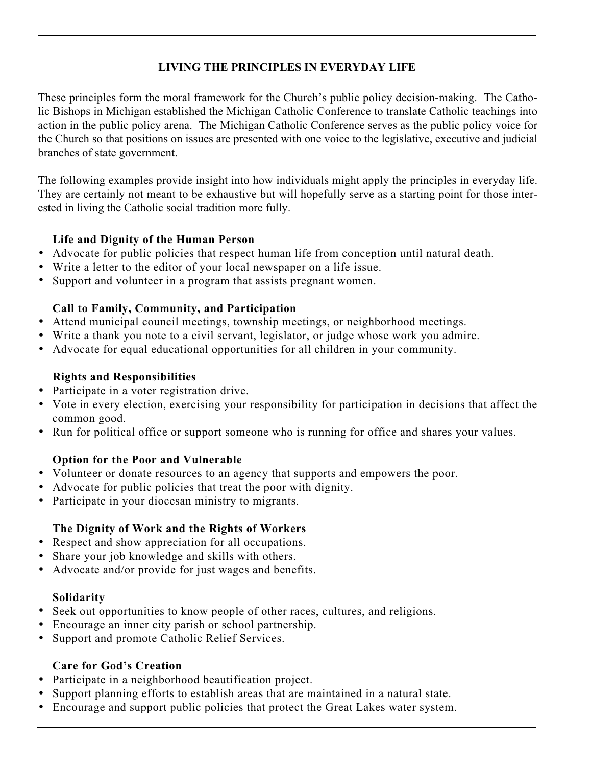## **LIVING THE PRINCIPLES IN EVERYDAY LIFE**

These principles form the moral framework for the Church's public policy decision-making. The Catholic Bishops in Michigan established the Michigan Catholic Conference to translate Catholic teachings into action in the public policy arena. The Michigan Catholic Conference serves as the public policy voice for the Church so that positions on issues are presented with one voice to the legislative, executive and judicial branches of state government.

The following examples provide insight into how individuals might apply the principles in everyday life. They are certainly not meant to be exhaustive but will hopefully serve as a starting point for those interested in living the Catholic social tradition more fully.

## **Life and Dignity of the Human Person**

- Advocate for public policies that respect human life from conception until natural death.
- Write a letter to the editor of your local newspaper on a life issue.
- Support and volunteer in a program that assists pregnant women.

## **Call to Family, Community, and Participation**

- Attend municipal council meetings, township meetings, or neighborhood meetings.
- Write a thank you note to a civil servant, legislator, or judge whose work you admire.
- Advocate for equal educational opportunities for all children in your community.

## **Rights and Responsibilities**

- Participate in a voter registration drive.
- Vote in every election, exercising your responsibility for participation in decisions that affect the common good.
- Run for political office or support someone who is running for office and shares your values.

## **Option for the Poor and Vulnerable**

- Volunteer or donate resources to an agency that supports and empowers the poor.
- Advocate for public policies that treat the poor with dignity.
- Participate in your diocesan ministry to migrants.

## **The Dignity of Work and the Rights of Workers**

- Respect and show appreciation for all occupations.
- Share your job knowledge and skills with others.
- Advocate and/or provide for just wages and benefits.

## **Solidarity**

- Seek out opportunities to know people of other races, cultures, and religions.
- Encourage an inner city parish or school partnership.
- Support and promote Catholic Relief Services.

## **Care for God's Creation**

- Participate in a neighborhood beautification project.
- Support planning efforts to establish areas that are maintained in a natural state.
- Encourage and support public policies that protect the Great Lakes water system.